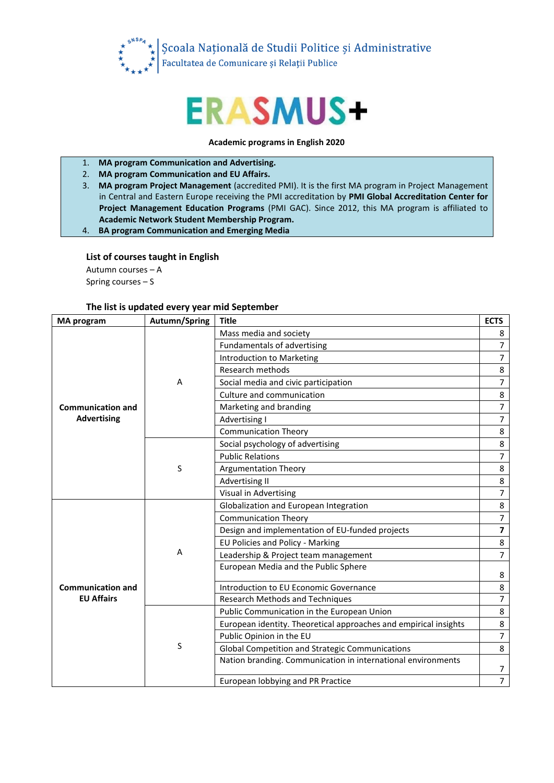

## **ERASMUS+**

## **Academic programs in English 2020**

- 1. **MA program Communication and Advertising.**
- 2. **MA program Communication and EU Affairs.**
- 3. **MA program Project Management** (accredited PMI). It is the first MA program in Project Management in Central and Eastern Europe receiving the PMI accreditation by **PMI Global Accreditation Center for Project Management Education Programs** (PMI GAC). Since 2012, this MA program is affiliated to **Academic Network Student Membership Program.**

4. **BA program Communication and Emerging Media**

## **List of courses taught in English**

Autumn courses – A Spring courses – S

## **The list is updated every year mid September**

| <b>MA</b> program                              | Autumn/Spring | <b>Title</b>                                                     | <b>ECTS</b>    |
|------------------------------------------------|---------------|------------------------------------------------------------------|----------------|
| <b>Communication and</b><br><b>Advertising</b> | A             | Mass media and society                                           | 8              |
|                                                |               | Fundamentals of advertising                                      | $\overline{7}$ |
|                                                |               | Introduction to Marketing                                        | $\overline{7}$ |
|                                                |               | Research methods                                                 | 8              |
|                                                |               | Social media and civic participation                             | 7              |
|                                                |               | Culture and communication                                        | 8              |
|                                                |               | Marketing and branding                                           | $\overline{7}$ |
|                                                |               | Advertising I                                                    | $\overline{7}$ |
|                                                |               | <b>Communication Theory</b>                                      | 8              |
|                                                | S             | Social psychology of advertising                                 | 8              |
|                                                |               | <b>Public Relations</b>                                          | 7              |
|                                                |               | <b>Argumentation Theory</b>                                      | 8              |
|                                                |               | Advertising II                                                   | 8              |
|                                                |               | Visual in Advertising                                            | $\overline{7}$ |
|                                                | A             | Globalization and European Integration                           | 8              |
|                                                |               | <b>Communication Theory</b>                                      | $\overline{7}$ |
|                                                |               | Design and implementation of EU-funded projects                  | 7              |
|                                                |               | EU Policies and Policy - Marking                                 | 8              |
|                                                |               | Leadership & Project team management                             | $\overline{7}$ |
| <b>Communication and</b><br><b>EU Affairs</b>  |               | European Media and the Public Sphere                             | 8              |
|                                                |               | Introduction to EU Economic Governance                           | 8              |
|                                                |               | <b>Research Methods and Techniques</b>                           | $\overline{7}$ |
|                                                | S             | Public Communication in the European Union                       | 8              |
|                                                |               | European identity. Theoretical approaches and empirical insights | 8              |
|                                                |               | Public Opinion in the EU                                         | $\overline{7}$ |
|                                                |               | <b>Global Competition and Strategic Communications</b>           | 8              |
|                                                |               | Nation branding. Communication in international environments     | 7              |
|                                                |               | European lobbying and PR Practice                                | $\overline{7}$ |